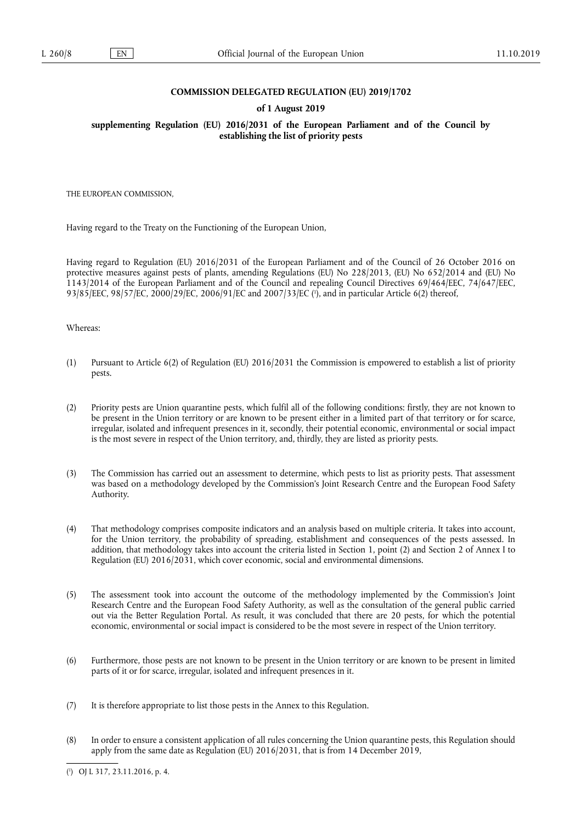#### **COMMISSION DELEGATED REGULATION (EU) 2019/1702**

#### **of 1 August 2019**

**supplementing Regulation (EU) 2016/2031 of the European Parliament and of the Council by establishing the list of priority pests** 

THE EUROPEAN COMMISSION,

Having regard to the Treaty on the Functioning of the European Union,

Having regard to Regulation (EU) 2016/2031 of the European Parliament and of the Council of 26 October 2016 on protective measures against pests of plants, amending Regulations (EU) No 228/2013, (EU) No 652/2014 and (EU) No 1143/2014 of the European Parliament and of the Council and repealing Council Directives 69/464/EEC, 74/647/EEC, 93/85/EEC, 98/57/EC, 2000/29/EC, 2006/91/EC and 2007/33/EC ( 1 ), and in particular Article 6(2) thereof,

Whereas:

- (1) Pursuant to Article 6(2) of Regulation (EU) 2016/2031 the Commission is empowered to establish a list of priority pests.
- (2) Priority pests are Union quarantine pests, which fulfil all of the following conditions: firstly, they are not known to be present in the Union territory or are known to be present either in a limited part of that territory or for scarce, irregular, isolated and infrequent presences in it, secondly, their potential economic, environmental or social impact is the most severe in respect of the Union territory, and, thirdly, they are listed as priority pests.
- (3) The Commission has carried out an assessment to determine, which pests to list as priority pests. That assessment was based on a methodology developed by the Commission's Joint Research Centre and the European Food Safety Authority.
- (4) That methodology comprises composite indicators and an analysis based on multiple criteria. It takes into account, for the Union territory, the probability of spreading, establishment and consequences of the pests assessed. In addition, that methodology takes into account the criteria listed in Section 1, point (2) and Section 2 of Annex I to Regulation (EU) 2016/2031, which cover economic, social and environmental dimensions.
- (5) The assessment took into account the outcome of the methodology implemented by the Commission's Joint Research Centre and the European Food Safety Authority, as well as the consultation of the general public carried out via the Better Regulation Portal. As result, it was concluded that there are 20 pests, for which the potential economic, environmental or social impact is considered to be the most severe in respect of the Union territory.
- (6) Furthermore, those pests are not known to be present in the Union territory or are known to be present in limited parts of it or for scarce, irregular, isolated and infrequent presences in it.
- (7) It is therefore appropriate to list those pests in the Annex to this Regulation.
- (8) In order to ensure a consistent application of all rules concerning the Union quarantine pests, this Regulation should apply from the same date as Regulation (EU) 2016/2031, that is from 14 December 2019,

<sup>(</sup> 1 ) OJ L 317, 23.11.2016, p. 4.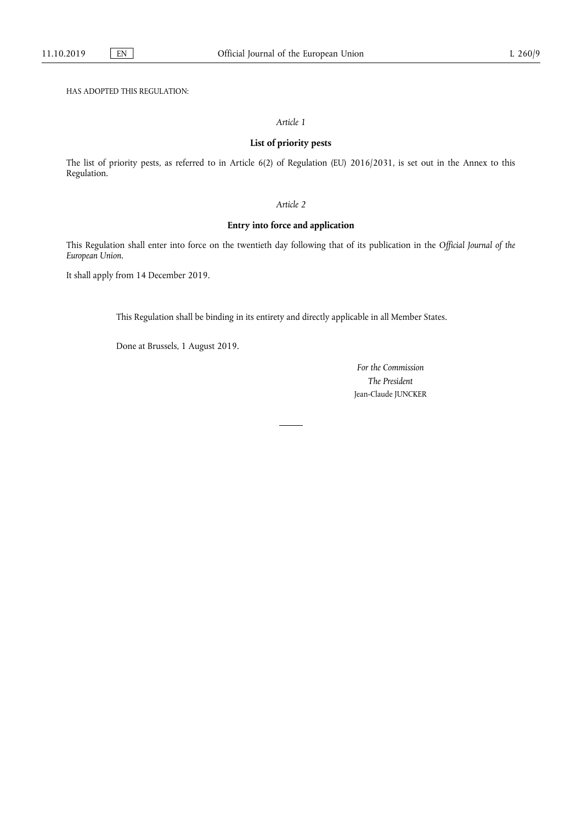HAS ADOPTED THIS REGULATION:

### *Article 1*

# **List of priority pests**

The list of priority pests, as referred to in Article 6(2) of Regulation (EU) 2016/2031, is set out in the Annex to this Regulation.

# *Article 2*

# **Entry into force and application**

This Regulation shall enter into force on the twentieth day following that of its publication in the *Official Journal of the European Union*.

It shall apply from 14 December 2019.

This Regulation shall be binding in its entirety and directly applicable in all Member States.

Done at Brussels, 1 August 2019.

*For the Commission The President*  Jean-Claude JUNCKER